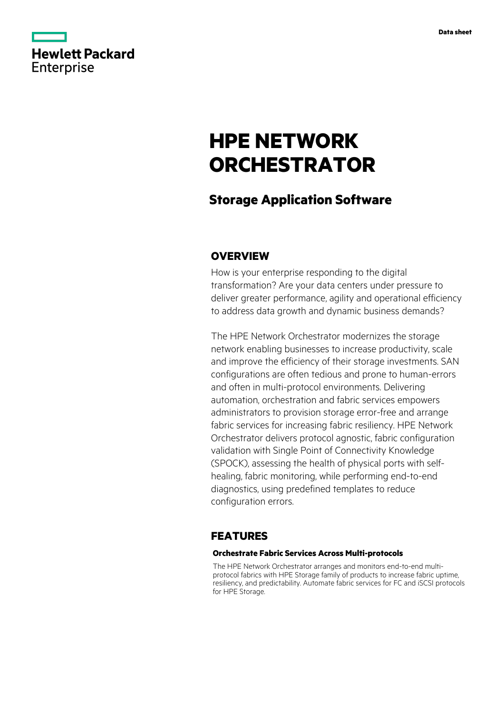

# **HPE NETWORK ORCHESTRATOR**

## **Storage Application Software**

## **OVERVIEW**

How is your enterprise responding to the digital transformation? Are your data centers under pressure to deliver greater performance, agility and operational efficiency to address data growth and dynamic business demands?

The HPE Network Orchestrator modernizes the storage network enabling businesses to increase productivity, scale and improve the efficiency of their storage investments. SAN configurations are often tedious and prone to human-errors and often in multi-protocol environments. Delivering automation, orchestration and fabric services empowers administrators to provision storage error-free and arrange fabric services for increasing fabric resiliency. HPE Network Orchestrator delivers protocol agnostic, fabric configuration validation with Single Point of Connectivity Knowledge (SPOCK), assessing the health of physical ports with selfhealing, fabric monitoring, while performing end-to-end diagnostics, using predefined templates to reduce configuration errors.

## **FEATURES**

#### **Orchestrate Fabric Services Across Multi-protocols**

The HPE Network Orchestrator arranges and monitors end-to-end multiprotocol fabrics with HPE Storage family of products to increase fabric uptime, resiliency, and predictability. Automate fabric services for FC and iSCSI protocols for HPE Storage.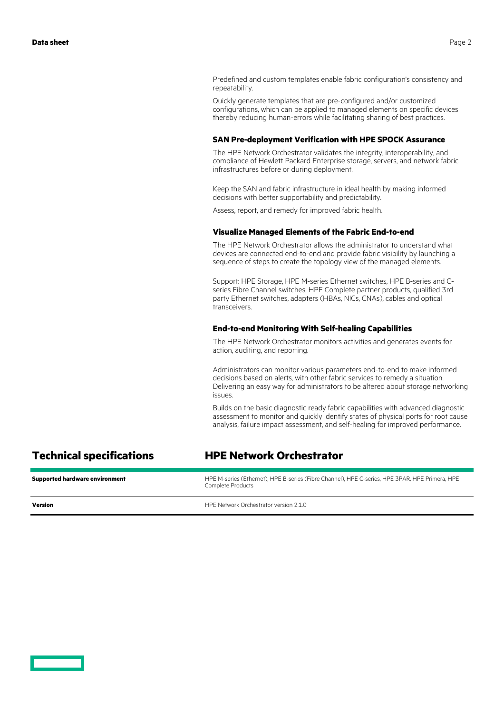Predefined and custom templates enable fabric configuration's consistency and repeatability.

Quickly generate templates that are pre-configured and/or customized configurations, which can be applied to managed elements on specific devices thereby reducing human-errors while facilitating sharing of best practices.

#### **SAN Pre-deployment Verification with HPE SPOCK Assurance**

The HPE Network Orchestrator validates the integrity, interoperability, and compliance of Hewlett Packard Enterprise storage, servers, and network fabric infrastructures before or during deployment.

Keep the SAN and fabric infrastructure in ideal health by making informed decisions with better supportability and predictability.

Assess, report, and remedy for improved fabric health.

#### **Visualize Managed Elements of the Fabric End-to-end**

The HPE Network Orchestrator allows the administrator to understand what devices are connected end-to-end and provide fabric visibility by launching a sequence of steps to create the topology view of the managed elements.

Support: HPE Storage, HPE M-series Ethernet switches, HPE B-series and Cseries Fibre Channel switches, HPE Complete partner products, qualified 3rd party Ethernet switches, adapters (HBAs, NICs, CNAs), cables and optical transceivers.

#### **End-to-end Monitoring With Self-healing Capabilities**

The HPE Network Orchestrator monitors activities and generates events for action, auditing, and reporting.

Administrators can monitor various parameters end-to-end to make informed decisions based on alerts, with other fabric services to remedy a situation. Delivering an easy way for administrators to be altered about storage networking issues.

Builds on the basic diagnostic ready fabric capabilities with advanced diagnostic assessment to monitor and quickly identify states of physical ports for root cause analysis, failure impact assessment, and self-healing for improved performance.

| <b>Technical specifications</b>       | <b>HPE Network Orchestrator</b>                                                                                      |
|---------------------------------------|----------------------------------------------------------------------------------------------------------------------|
| <b>Supported hardware environment</b> | HPE M-series (Ethernet), HPE B-series (Fibre Channel), HPE C-series, HPE 3PAR, HPE Primera, HPE<br>Complete Products |
| Version                               | HPF Network Orchestrator version 2.1.0                                                                               |